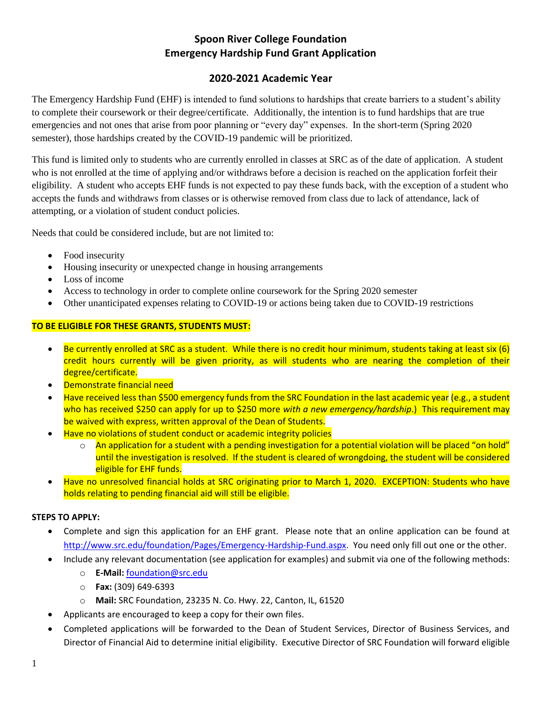# **Spoon River College Foundation Emergency Hardship Fund Grant Application**

# **2020-2021 Academic Year**

The Emergency Hardship Fund (EHF) is intended to fund solutions to hardships that create barriers to a student's ability to complete their coursework or their degree/certificate. Additionally, the intention is to fund hardships that are true emergencies and not ones that arise from poor planning or "every day" expenses. In the short-term (Spring 2020 semester), those hardships created by the COVID-19 pandemic will be prioritized.

This fund is limited only to students who are currently enrolled in classes at SRC as of the date of application. A student who is not enrolled at the time of applying and/or withdraws before a decision is reached on the application forfeit their eligibility. A student who accepts EHF funds is not expected to pay these funds back, with the exception of a student who accepts the funds and withdraws from classes or is otherwise removed from class due to lack of attendance, lack of attempting, or a violation of student conduct policies.

Needs that could be considered include, but are not limited to:

- Food insecurity
- Housing insecurity or unexpected change in housing arrangements
- Loss of income
- Access to technology in order to complete online coursework for the Spring 2020 semester
- Other unanticipated expenses relating to COVID-19 or actions being taken due to COVID-19 restrictions

## **TO BE ELIGIBLE FOR THESE GRANTS, STUDENTS MUST:**

- Be currently enrolled at SRC as a student. While there is no credit hour minimum, students taking at least six (6) credit hours currently will be given priority, as will students who are nearing the completion of their degree/certificate.
- Demonstrate financial need
- Have received less than \$500 emergency funds from the SRC Foundation in the last academic year (e.g., a student who has received \$250 can apply for up to \$250 more *with a new emergency/hardship*.) This requirement may be waived with express, written approval of the Dean of Students.
- Have no violations of student conduct or academic integrity policies
	- $\circ$  An application for a student with a pending investigation for a potential violation will be placed "on hold" until the investigation is resolved. If the student is cleared of wrongdoing, the student will be considered eligible for EHF funds.
- Have no unresolved financial holds at SRC originating prior to March 1, 2020. EXCEPTION: Students who have holds relating to pending financial aid will still be eligible.

## **STEPS TO APPLY:**

- Complete and sign this application for an EHF grant. Please note that an online application can be found at [http://www.src.edu/foundation/Pages/Emergency-Hardship-Fund.aspx.](http://www.src.edu/foundation/Pages/Emergency-Hardship-Fund.aspx) You need only fill out one or the other.
- Include any relevant documentation (see application for examples) and submit via one of the following methods:
	- o **E-Mail:** [foundation@src.edu](mailto:foundation@src.edu)
	- o **Fax:** (309) 649-6393
	- o **Mail:** SRC Foundation, 23235 N. Co. Hwy. 22, Canton, IL, 61520
- Applicants are encouraged to keep a copy for their own files.
- Completed applications will be forwarded to the Dean of Student Services, Director of Business Services, and Director of Financial Aid to determine initial eligibility. Executive Director of SRC Foundation will forward eligible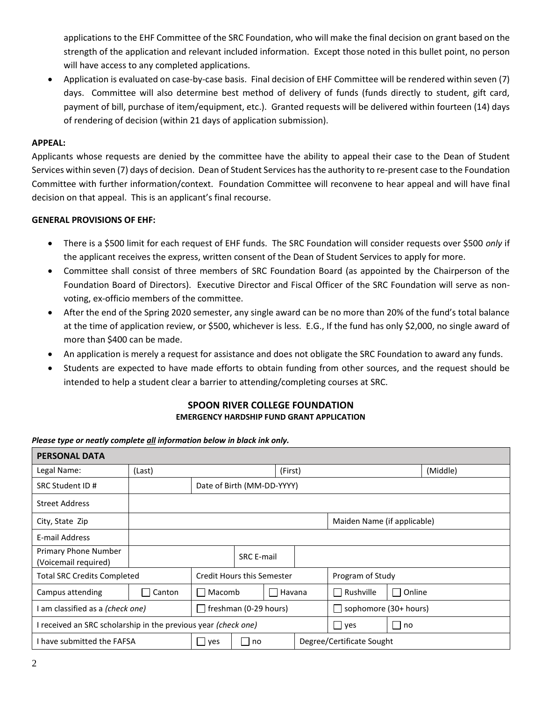applications to the EHF Committee of the SRC Foundation, who will make the final decision on grant based on the strength of the application and relevant included information. Except those noted in this bullet point, no person will have access to any completed applications.

 Application is evaluated on case-by-case basis. Final decision of EHF Committee will be rendered within seven (7) days. Committee will also determine best method of delivery of funds (funds directly to student, gift card, payment of bill, purchase of item/equipment, etc.). Granted requests will be delivered within fourteen (14) days of rendering of decision (within 21 days of application submission).

## **APPEAL:**

Applicants whose requests are denied by the committee have the ability to appeal their case to the Dean of Student Services within seven (7) days of decision. Dean of Student Services has the authority to re-present case to the Foundation Committee with further information/context. Foundation Committee will reconvene to hear appeal and will have final decision on that appeal. This is an applicant's final recourse.

## **GENERAL PROVISIONS OF EHF:**

- There is a \$500 limit for each request of EHF funds. The SRC Foundation will consider requests over \$500 *only* if the applicant receives the express, written consent of the Dean of Student Services to apply for more.
- Committee shall consist of three members of SRC Foundation Board (as appointed by the Chairperson of the Foundation Board of Directors). Executive Director and Fiscal Officer of the SRC Foundation will serve as nonvoting, ex-officio members of the committee.
- After the end of the Spring 2020 semester, any single award can be no more than 20% of the fund's total balance at the time of application review, or \$500, whichever is less. E.G., If the fund has only \$2,000, no single award of more than \$400 can be made.
- An application is merely a request for assistance and does not obligate the SRC Foundation to award any funds.
- Students are expected to have made efforts to obtain funding from other sources, and the request should be intended to help a student clear a barrier to attending/completing courses at SRC.

## **SPOON RIVER COLLEGE FOUNDATION EMERGENCY HARDSHIP FUND GRANT APPLICATION**

### *Please type or neatly complete all information below in black ink only.*

| <b>PERSONAL DATA</b>                                           |        |                            |                       |  |                  |                             |      |  |  |
|----------------------------------------------------------------|--------|----------------------------|-----------------------|--|------------------|-----------------------------|------|--|--|
| Legal Name:                                                    | (Last) | (First)                    |                       |  |                  | (Middle)                    |      |  |  |
| SRC Student ID #                                               |        | Date of Birth (MM-DD-YYYY) |                       |  |                  |                             |      |  |  |
| <b>Street Address</b>                                          |        |                            |                       |  |                  |                             |      |  |  |
| City, State Zip                                                |        |                            |                       |  |                  | Maiden Name (if applicable) |      |  |  |
| E-mail Address                                                 |        |                            |                       |  |                  |                             |      |  |  |
| Primary Phone Number<br>(Voicemail required)                   |        | <b>SRC E-mail</b>          |                       |  |                  |                             |      |  |  |
| <b>Total SRC Credits Completed</b>                             |        | Credit Hours this Semester |                       |  | Program of Study |                             |      |  |  |
| Campus attending                                               | Canton | Macomb<br>$\mathbf{I}$     | Havana                |  | Rushville        | Online                      |      |  |  |
| I am classified as a (check one)<br>$\mathbf{I}$               |        |                            | freshman (0-29 hours) |  |                  | sophomore (30+ hours)       |      |  |  |
| I received an SRC scholarship in the previous year (check one) |        |                            |                       |  |                  | l ves                       | l no |  |  |
| I have submitted the FAFSA                                     |        | $\Box$ yes                 | П<br>no               |  |                  | Degree/Certificate Sought   |      |  |  |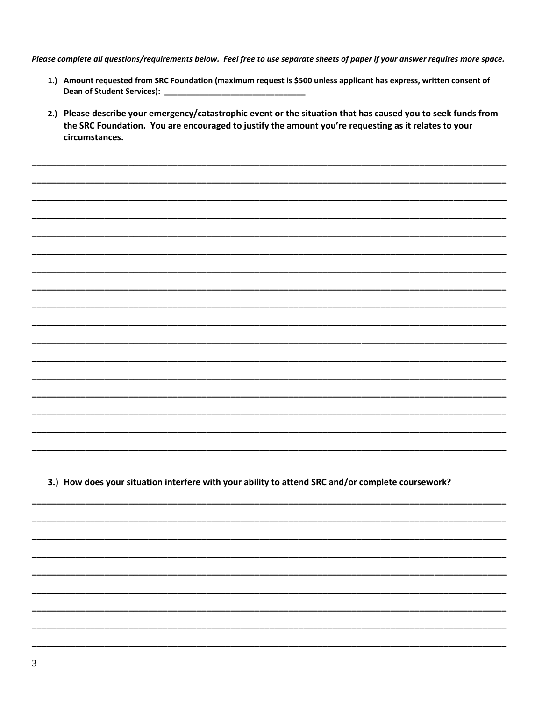Please complete all questions/requirements below. Feel free to use separate sheets of paper if your answer requires more space.

- 1.) Amount requested from SRC Foundation (maximum request is \$500 unless applicant has express, written consent of Dean of Student Services): \_\_\_\_
- 2.) Please describe your emergency/catastrophic event or the situation that has caused you to seek funds from the SRC Foundation. You are encouraged to justify the amount you're requesting as it relates to your circumstances.

3.) How does your situation interfere with your ability to attend SRC and/or complete coursework?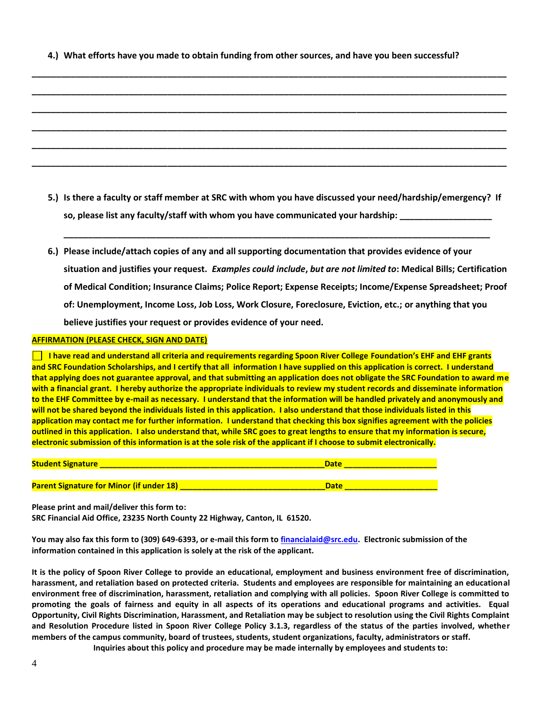**4.) What efforts have you made to obtain funding from other sources, and have you been successful?**

**\_\_\_\_\_\_\_\_\_\_\_\_\_\_\_\_\_\_\_\_\_\_\_\_\_\_\_\_\_\_\_\_\_\_\_\_\_\_\_\_\_\_\_\_\_\_\_\_\_\_\_\_\_\_\_\_\_\_\_\_\_\_\_\_\_\_\_\_\_\_\_\_\_\_\_\_\_\_\_\_\_\_\_\_\_\_\_\_\_\_\_\_\_\_\_\_\_\_**

**\_\_\_\_\_\_\_\_\_\_\_\_\_\_\_\_\_\_\_\_\_\_\_\_\_\_\_\_\_\_\_\_\_\_\_\_\_\_\_\_\_\_\_\_\_\_\_\_\_\_\_\_\_\_\_\_\_\_\_\_\_\_\_\_\_\_\_\_\_\_\_\_\_\_\_\_\_\_\_\_\_\_\_\_\_\_\_\_\_\_\_\_\_\_\_\_\_\_**

**\_\_\_\_\_\_\_\_\_\_\_\_\_\_\_\_\_\_\_\_\_\_\_\_\_\_\_\_\_\_\_\_\_\_\_\_\_\_\_\_\_\_\_\_\_\_\_\_\_\_\_\_\_\_\_\_\_\_\_\_\_\_\_\_\_\_\_\_\_\_\_\_\_\_\_\_\_\_\_\_\_\_\_\_\_\_\_\_\_\_\_\_\_\_\_\_\_\_**

**\_\_\_\_\_\_\_\_\_\_\_\_\_\_\_\_\_\_\_\_\_\_\_\_\_\_\_\_\_\_\_\_\_\_\_\_\_\_\_\_\_\_\_\_\_\_\_\_\_\_\_\_\_\_\_\_\_\_\_\_\_\_\_\_\_\_\_\_\_\_\_\_\_\_\_\_\_\_\_\_\_\_\_\_\_\_\_\_\_\_\_\_\_\_\_\_\_\_**

**\_\_\_\_\_\_\_\_\_\_\_\_\_\_\_\_\_\_\_\_\_\_\_\_\_\_\_\_\_\_\_\_\_\_\_\_\_\_\_\_\_\_\_\_\_\_\_\_\_\_\_\_\_\_\_\_\_\_\_\_\_\_\_\_\_\_\_\_\_\_\_\_\_\_\_\_\_\_\_\_\_\_\_\_\_\_\_\_\_\_\_\_\_\_\_\_\_\_**

**\_\_\_\_\_\_\_\_\_\_\_\_\_\_\_\_\_\_\_\_\_\_\_\_\_\_\_\_\_\_\_\_\_\_\_\_\_\_\_\_\_\_\_\_\_\_\_\_\_\_\_\_\_\_\_\_\_\_\_\_\_\_\_\_\_\_\_\_\_\_\_\_\_\_\_\_\_\_\_\_\_\_\_\_\_\_\_\_\_\_\_\_\_\_\_\_\_\_**

**5.) Is there a faculty or staff member at SRC with whom you have discussed your need/hardship/emergency? If**  so, please list any faculty/staff with whom you have communicated your hardship:

**\_\_\_\_\_\_\_\_\_\_\_\_\_\_\_\_\_\_\_\_\_\_\_\_\_\_\_\_\_\_\_\_\_\_\_\_\_\_\_\_\_\_\_\_\_\_\_\_\_\_\_\_\_\_\_\_\_\_\_\_\_\_\_\_\_\_\_\_\_\_\_\_\_\_\_\_\_\_\_\_\_\_\_\_\_\_\_\_**

**6.) Please include/attach copies of any and all supporting documentation that provides evidence of your situation and justifies your request.** *Examples could include***,** *but are not limited to***: Medical Bills; Certification of Medical Condition; Insurance Claims; Police Report; Expense Receipts; Income/Expense Spreadsheet; Proof of: Unemployment, Income Loss, Job Loss, Work Closure, Foreclosure, Eviction, etc.; or anything that you believe justifies your request or provides evidence of your need.**

#### **AFFIRMATION (PLEASE CHECK, SIGN AND DATE)**

**I have read and understand all criteria and requirements regarding Spoon River College Foundation's EHF and EHF grants and SRC Foundation Scholarships, and I certify that all information I have supplied on this application is correct. I understand that applying does not guarantee approval, and that submitting an application does not obligate the SRC Foundation to award me with a financial grant. I hereby authorize the appropriate individuals to review my student records and disseminate information to the EHF Committee by e-mail as necessary. I understand that the information will be handled privately and anonymously and will not be shared beyond the individuals listed in this application. I also understand that those individuals listed in this application may contact me for further information. I understand that checking this box signifies agreement with the policies outlined in this application. I also understand that, while SRC goes to great lengths to ensure that my information is secure, electronic submission of this information is at the sole risk of the applicant if I choose to submit electronically.**

| <b>Student Signature</b>                        | <b>Date</b> |
|-------------------------------------------------|-------------|
|                                                 |             |
| <b>Parent Signature for Minor (if under 18)</b> | <b>Date</b> |

**Please print and mail/deliver this form to:**

**SRC Financial Aid Office, 23235 North County 22 Highway, Canton, IL 61520.**

**You may also fax this form to (309) 649-6393, or e-mail this form to [financialaid@src.edu.](mailto:financialaid@src.edu) Electronic submission of the information contained in this application is solely at the risk of the applicant.**

**It is the policy of Spoon River College to provide an educational, employment and business environment free of discrimination, harassment, and retaliation based on protected criteria. Students and employees are responsible for maintaining an educational environment free of discrimination, harassment, retaliation and complying with all policies. Spoon River College is committed to promoting the goals of fairness and equity in all aspects of its operations and educational programs and activities. Equal Opportunity, Civil Rights Discrimination, Harassment, and Retaliation may be subject to resolution using the Civil Rights Complaint and Resolution Procedure listed in Spoon River College Policy 3.1.3, regardless of the status of the parties involved, whether members of the campus community, board of trustees, students, student organizations, faculty, administrators or staff.** 

**Inquiries about this policy and procedure may be made internally by employees and students to:**